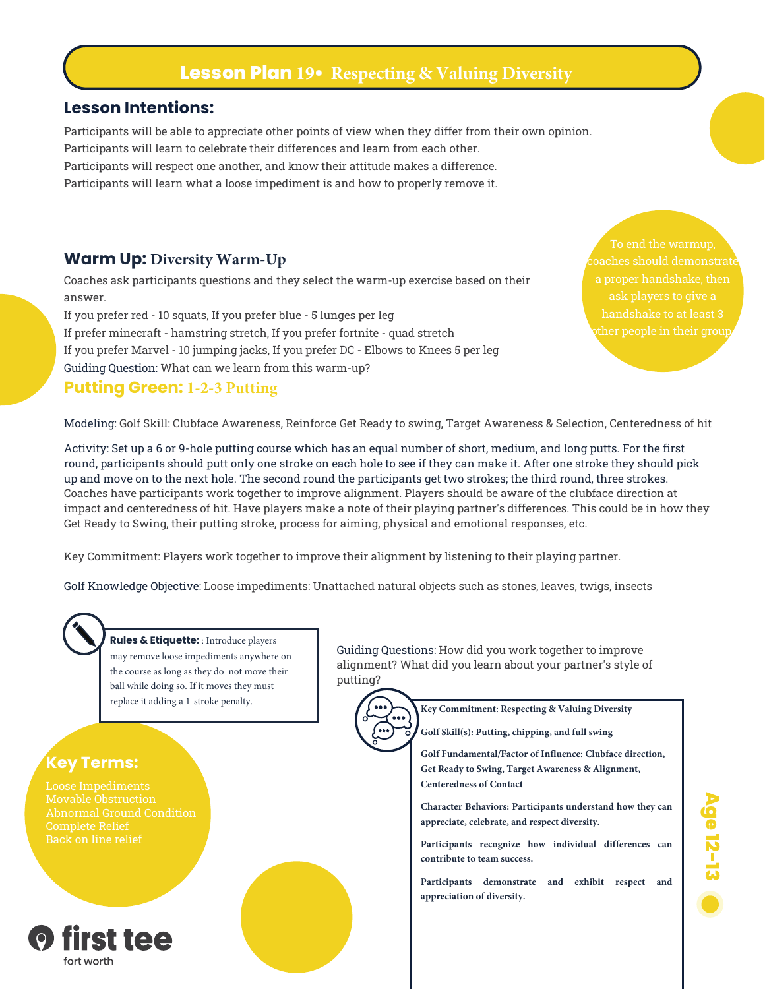# **Lesson Plan 19• Respecting & Valuing Diversity**

#### **Lesson Intentions:**

Participants will be able to appreciate other points of view when they differ from their own opinion. Participants will learn to celebrate their differences and learn from each other. Participants will respect one another, and know their attitude makes a difference. Participants will learn what a loose impediment is and how to properly remove it.

#### **Warm Up: Diversity Warm-Up**

Coaches ask participants questions and they select the warm-up exercise based on their answer.

If you prefer red - 10 squats, If you prefer blue - 5 lunges per leg If prefer minecraft - hamstring stretch, If you prefer fortnite - quad stretch If you prefer Marvel - 10 jumping jacks, If you prefer DC - Elbows to Knees 5 per leg Guiding Question: What can we learn from this warm-up?

#### **Putting Green: 1-2-3 Putting**

To end the warmup, ask players to give a ther people in their group

Modeling: Golf Skill: Clubface Awareness, Reinforce Get Ready to swing, Target Awareness & Selection, Centeredness of hit

Activity: Set up a 6 or 9-hole putting course which has an equal number of short, medium, and long putts. For the first round, participants should putt only one stroke on each hole to see if they can make it. After one stroke they should pick up and move on to the next hole. The second round the participants get two strokes; the third round, three strokes. Coaches have participants work together to improve alignment. Players should be aware of the clubface direction at impact and centeredness of hit. Have players make a note of their playing partner's differences. This could be in how they Get Ready to Swing, their putting stroke, process for aiming, physical and emotional responses, etc.

Key Commitment: Players work together to improve their alignment by listening to their playing partner.

Golf Knowledge Objective: Loose impediments: Unattached natural objects such as stones, leaves, twigs, insects

# **Rules & Etiquette:** : Introduce players

may remove loose impediments anywhere on the course as long as they do not move their ball while doing so. If it moves they must replace it adding a 1-stroke penalty.

#### **Key Terms:**

Complete Relief

Guiding Questions: How did you work together to improve alignment? What did you learn about your partner's style of putting?

**Key Commitment: Respecting & Valuing Diversity**

**Golf Skill(s): Putting, chipping, and full swing**

**Golf Fundamental/Factor of Influence: Clubface direction, Get Ready to Swing, Target Awareness & Alignment, Centeredness of Contact**

**Character Behaviors: Participants understand how they can appreciate, celebrate, and respect diversity.**

**Participants recognize how individual differences can contribute to team success.**

**Participants demonstrate and exhibit respect and appreciation of diversity.**